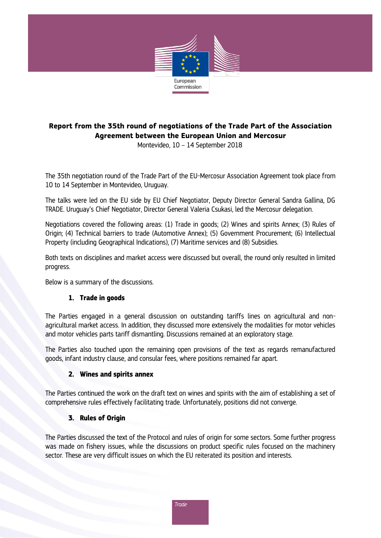

# **Report from the 35th round of negotiations of the Trade Part of the Association Agreement between the European Union and Mercosur**

Montevideo, 10 – 14 September 2018

The 35th negotiation round of the Trade Part of the EU-Mercosur Association Agreement took place from 10 to 14 September in Montevideo, Uruguay.

The talks were led on the EU side by EU Chief Negotiator, Deputy Director General Sandra Gallina, DG TRADE. Uruguay's Chief Negotiator, Director General Valeria Csukasi, led the Mercosur delegation.

Negotiations covered the following areas: (1) Trade in goods; (2) Wines and spirits Annex; (3) Rules of Origin; (4) Technical barriers to trade (Automotive Annex); (5) Government Procurement; (6) Intellectual Property (including Geographical Indications), (7) Maritime services and (8) Subsidies.

Both texts on disciplines and market access were discussed but overall, the round only resulted in limited progress.

Below is a summary of the discussions.

### **1. Trade in goods**

The Parties engaged in a general discussion on outstanding tariffs lines on agricultural and nonagricultural market access. In addition, they discussed more extensively the modalities for motor vehicles and motor vehicles parts tariff dismantling. Discussions remained at an exploratory stage.

The Parties also touched upon the remaining open provisions of the text as regards remanufactured goods, infant industry clause, and consular fees, where positions remained far apart.

#### **2. Wines and spirits annex**

The Parties continued the work on the draft text on wines and spirits with the aim of establishing a set of comprehensive rules effectively facilitating trade. Unfortunately, positions did not converge.

#### **3. Rules of Origin**

The Parties discussed the text of the Protocol and rules of origin for some sectors. Some further progress was made on fishery issues, while the discussions on product specific rules focused on the machinery sector. These are very difficult issues on which the EU reiterated its position and interests.

**Trade**